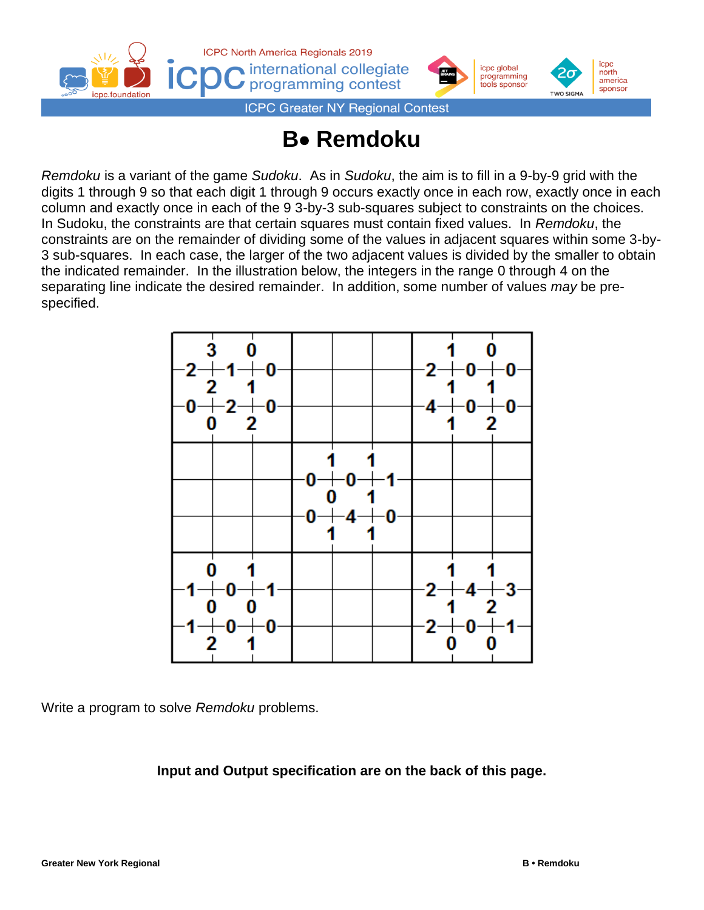



**ICPC Greater NY Regional Contest** 

## **B**• **Remdoku**

*Remdoku* is a variant of the game *Sudoku*. As in *Sudoku*, the aim is to fill in a 9-by-9 grid with the digits 1 through 9 so that each digit 1 through 9 occurs exactly once in each row, exactly once in each column and exactly once in each of the 9 3-by-3 sub-squares subject to constraints on the choices. In Sudoku, the constraints are that certain squares must contain fixed values. In *Remdoku*, the constraints are on the remainder of dividing some of the values in adjacent squares within some 3-by-3 sub-squares. In each case, the larger of the two adjacent values is divided by the smaller to obtain the indicated remainder. In the illustration below, the integers in the range 0 through 4 on the separating line indicate the desired remainder. In addition, some number of values *may* be prespecified.



Write a program to solve *Remdoku* problems.

**Input and Output specification are on the back of this page.**